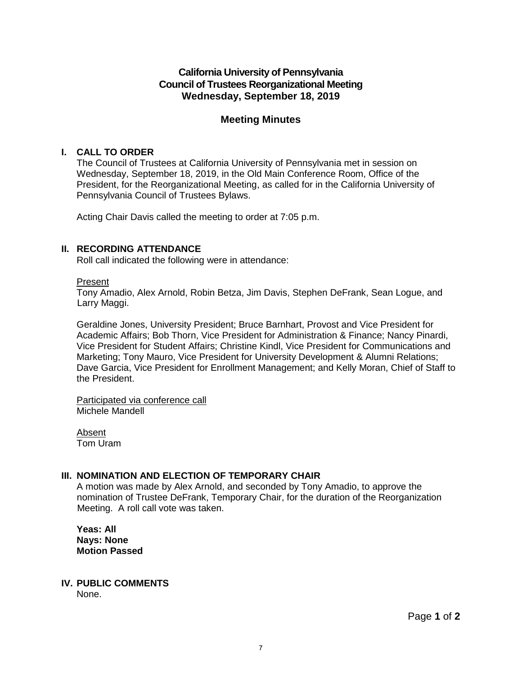# **California University of Pennsylvania Council of Trustees Reorganizational Meeting Wednesday, September 18, 2019**

# **Meeting Minutes**

## **I. CALL TO ORDER**

The Council of Trustees at California University of Pennsylvania met in session on Wednesday, September 18, 2019, in the Old Main Conference Room, Office of the President, for the Reorganizational Meeting, as called for in the California University of Pennsylvania Council of Trustees Bylaws.

Acting Chair Davis called the meeting to order at 7:05 p.m.

## **II. RECORDING ATTENDANCE**

Roll call indicated the following were in attendance:

#### Present

Tony Amadio, Alex Arnold, Robin Betza, Jim Davis, Stephen DeFrank, Sean Logue, and Larry Maggi.

Geraldine Jones, University President; Bruce Barnhart, Provost and Vice President for Academic Affairs; Bob Thorn, Vice President for Administration & Finance; Nancy Pinardi, Vice President for Student Affairs; Christine Kindl, Vice President for Communications and Marketing; Tony Mauro, Vice President for University Development & Alumni Relations; Dave Garcia, Vice President for Enrollment Management; and Kelly Moran, Chief of Staff to the President.

Participated via conference call Michele Mandell

Absent Tom Uram

## **III. NOMINATION AND ELECTION OF TEMPORARY CHAIR**

A motion was made by Alex Arnold, and seconded by Tony Amadio, to approve the nomination of Trustee DeFrank, Temporary Chair, for the duration of the Reorganization Meeting. A roll call vote was taken.

**Yeas: All Nays: None Motion Passed**

## **IV. PUBLIC COMMENTS**

None.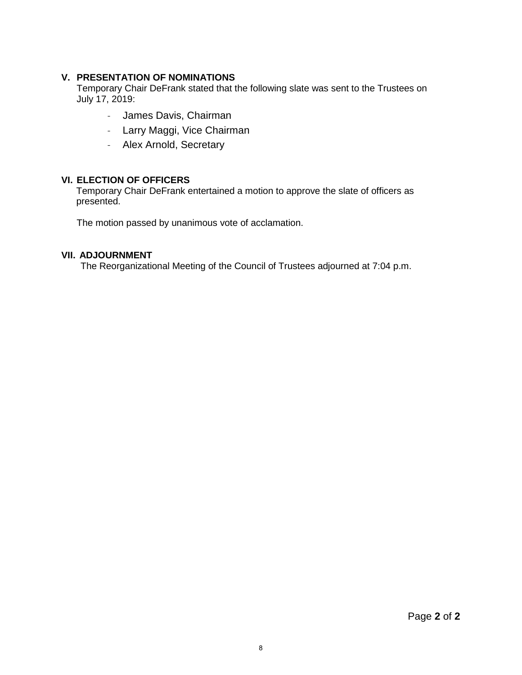## **V. PRESENTATION OF NOMINATIONS**

Temporary Chair DeFrank stated that the following slate was sent to the Trustees on July 17, 2019:

- James Davis, Chairman
- Larry Maggi, Vice Chairman
- Alex Arnold, Secretary

## **VI. ELECTION OF OFFICERS**

Temporary Chair DeFrank entertained a motion to approve the slate of officers as presented.

The motion passed by unanimous vote of acclamation.

### **VII. ADJOURNMENT**

The Reorganizational Meeting of the Council of Trustees adjourned at 7:04 p.m.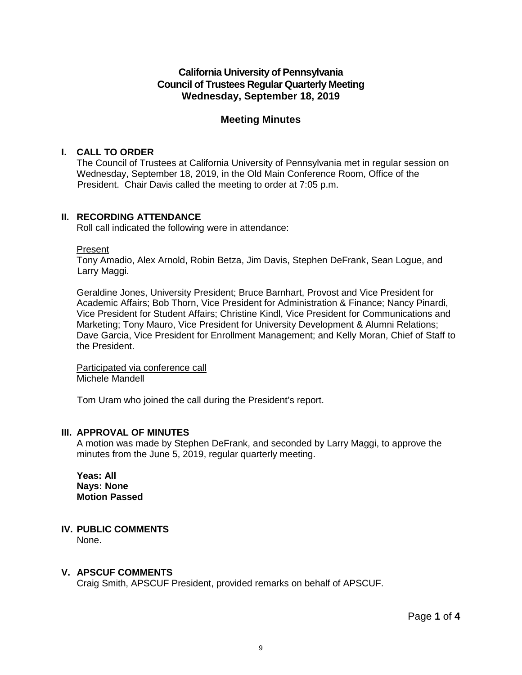# **California University of Pennsylvania Council of Trustees Regular Quarterly Meeting Wednesday, September 18, 2019**

# **Meeting Minutes**

## **I. CALL TO ORDER**

The Council of Trustees at California University of Pennsylvania met in regular session on Wednesday, September 18, 2019, in the Old Main Conference Room, Office of the President. Chair Davis called the meeting to order at 7:05 p.m.

# **II. RECORDING ATTENDANCE**

Roll call indicated the following were in attendance:

## Present

Tony Amadio, Alex Arnold, Robin Betza, Jim Davis, Stephen DeFrank, Sean Logue, and Larry Maggi.

Geraldine Jones, University President; Bruce Barnhart, Provost and Vice President for Academic Affairs; Bob Thorn, Vice President for Administration & Finance; Nancy Pinardi, Vice President for Student Affairs; Christine Kindl, Vice President for Communications and Marketing; Tony Mauro, Vice President for University Development & Alumni Relations; Dave Garcia, Vice President for Enrollment Management; and Kelly Moran, Chief of Staff to the President.

Participated via conference call Michele Mandell

Tom Uram who joined the call during the President's report.

## **III. APPROVAL OF MINUTES**

A motion was made by Stephen DeFrank, and seconded by Larry Maggi, to approve the minutes from the June 5, 2019, regular quarterly meeting.

**Yeas: All Nays: None Motion Passed**

# **IV. PUBLIC COMMENTS**

None.

# **V. APSCUF COMMENTS**

Craig Smith, APSCUF President, provided remarks on behalf of APSCUF.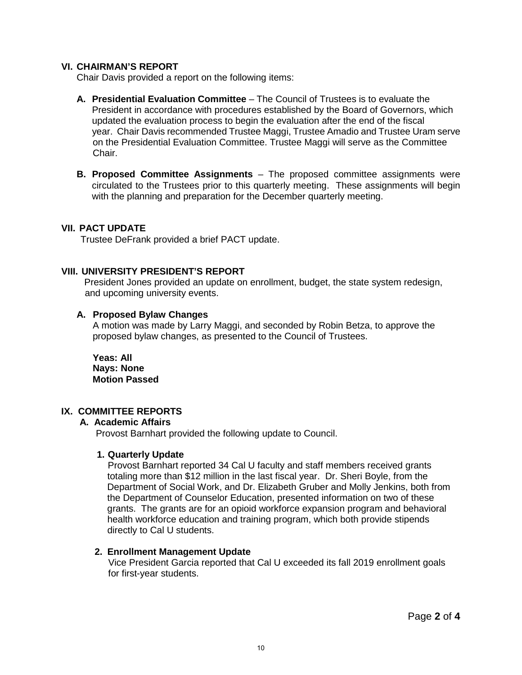### **VI. CHAIRMAN'S REPORT**

Chair Davis provided a report on the following items:

- **A. Presidential Evaluation Committee** The Council of Trustees is to evaluate the President in accordance with procedures established by the Board of Governors, which updated the evaluation process to begin the evaluation after the end of the fiscal year. Chair Davis recommended Trustee Maggi, Trustee Amadio and Trustee Uram serve on the Presidential Evaluation Committee. Trustee Maggi will serve as the Committee Chair.
- **B. Proposed Committee Assignments** The proposed committee assignments were circulated to the Trustees prior to this quarterly meeting. These assignments will begin with the planning and preparation for the December quarterly meeting.

## **VII. PACT UPDATE**

Trustee DeFrank provided a brief PACT update.

## **VIII. UNIVERSITY PRESIDENT'S REPORT**

President Jones provided an update on enrollment, budget, the state system redesign, and upcoming university events.

#### **A. Proposed Bylaw Changes**

 A motion was made by Larry Maggi, and seconded by Robin Betza, to approve the proposed bylaw changes, as presented to the Council of Trustees.

 **Yeas: All Nays: None Motion Passed**

## **IX. COMMITTEE REPORTS**

#### **A. Academic Affairs**

Provost Barnhart provided the following update to Council.

#### **1. Quarterly Update**

 Provost Barnhart reported 34 Cal U faculty and staff members received grants totaling more than \$12 million in the last fiscal year. Dr. Sheri Boyle, from the Department of Social Work, and Dr. Elizabeth Gruber and Molly Jenkins, both from the Department of Counselor Education, presented information on two of these grants. The grants are for an opioid workforce expansion program and behavioral health workforce education and training program, which both provide stipends directly to Cal U students.

#### **2. Enrollment Management Update**

 Vice President Garcia reported that Cal U exceeded its fall 2019 enrollment goals for first-year students.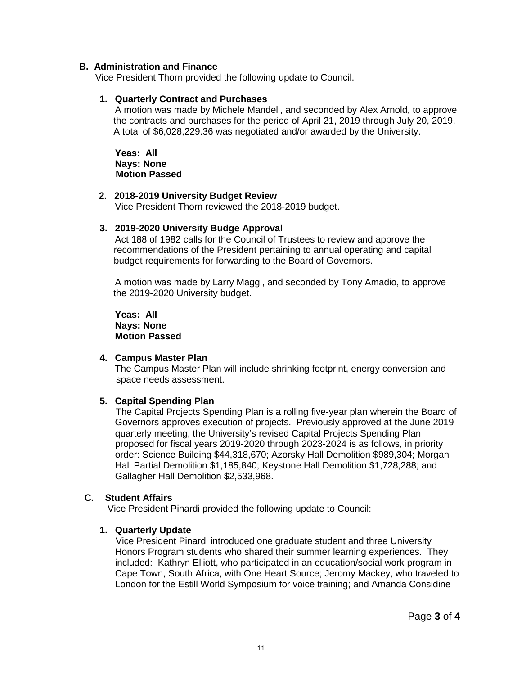#### **B. Administration and Finance**

Vice President Thorn provided the following update to Council.

### **1. Quarterly Contract and Purchases**

A motion was made by Michele Mandell, and seconded by Alex Arnold, to approve the contracts and purchases for the period of April 21, 2019 through July 20, 2019. A total of \$6,028,229.36 was negotiated and/or awarded by the University.

**Yeas: All Nays: None Motion Passed**

#### **2. 2018-2019 University Budget Review**

Vice President Thorn reviewed the 2018-2019 budget.

## **3. 2019-2020 University Budge Approval**

Act 188 of 1982 calls for the Council of Trustees to review and approve the recommendations of the President pertaining to annual operating and capital budget requirements for forwarding to the Board of Governors.

A motion was made by Larry Maggi, and seconded by Tony Amadio, to approve the 2019-2020 University budget.

**Yeas: All Nays: None Motion Passed**

### **4. Campus Master Plan**

The Campus Master Plan will include shrinking footprint, energy conversion and space needs assessment.

## **5. Capital Spending Plan**

The Capital Projects Spending Plan is a rolling five-year plan wherein the Board of Governors approves execution of projects. Previously approved at the June 2019 quarterly meeting, the University's revised Capital Projects Spending Plan proposed for fiscal years 2019-2020 through 2023-2024 is as follows, in priority order: Science Building \$44,318,670; Azorsky Hall Demolition \$989,304; Morgan Hall Partial Demolition \$1,185,840; Keystone Hall Demolition \$1,728,288; and Gallagher Hall Demolition \$2,533,968.

#### **C. Student Affairs**

Vice President Pinardi provided the following update to Council:

#### **1. Quarterly Update**

Vice President Pinardi introduced one graduate student and three University Honors Program students who shared their summer learning experiences. They included: Kathryn Elliott, who participated in an education/social work program in Cape Town, South Africa, with One Heart Source; Jeromy Mackey, who traveled to London for the Estill World Symposium for voice training; and Amanda Considine